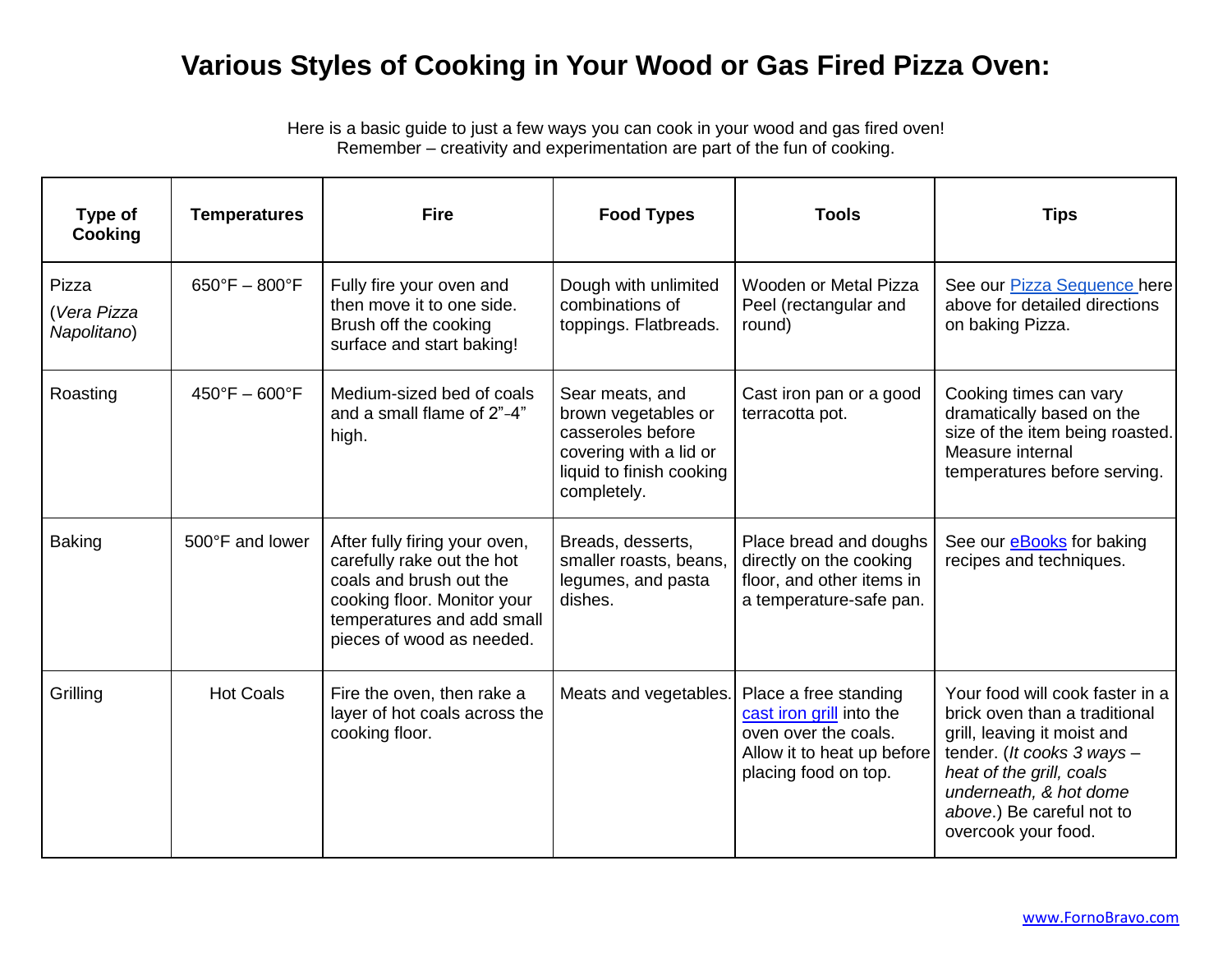## **Various Styles of Cooking in Your Wood or Gas Fired Pizza Oven:**

Here is a basic guide to just a few ways you can cook in your wood and gas fired oven! Remember – creativity and experimentation are part of the fun of cooking.

| Type of<br>Cooking                  | <b>Temperatures</b>                | <b>Fire</b>                                                                                                                                                                      | <b>Food Types</b>                                                                                                                | <b>Tools</b>                                                                                                                    | <b>Tips</b>                                                                                                                                                                                                                             |
|-------------------------------------|------------------------------------|----------------------------------------------------------------------------------------------------------------------------------------------------------------------------------|----------------------------------------------------------------------------------------------------------------------------------|---------------------------------------------------------------------------------------------------------------------------------|-----------------------------------------------------------------------------------------------------------------------------------------------------------------------------------------------------------------------------------------|
| Pizza<br>(Vera Pizza<br>Napolitano) | $650^{\circ}F - 800^{\circ}F$      | Fully fire your oven and<br>then move it to one side.<br>Brush off the cooking<br>surface and start baking!                                                                      | Dough with unlimited<br>combinations of<br>toppings. Flatbreads.                                                                 | Wooden or Metal Pizza<br>Peel (rectangular and<br>round)                                                                        | See our Pizza Sequence here<br>above for detailed directions<br>on baking Pizza.                                                                                                                                                        |
| Roasting                            | $450^{\circ}$ F - 600 $^{\circ}$ F | Medium-sized bed of coals<br>and a small flame of 2"-4"<br>high.                                                                                                                 | Sear meats, and<br>brown vegetables or<br>casseroles before<br>covering with a lid or<br>liquid to finish cooking<br>completely. | Cast iron pan or a good<br>terracotta pot.                                                                                      | Cooking times can vary<br>dramatically based on the<br>size of the item being roasted.<br>Measure internal<br>temperatures before serving.                                                                                              |
| <b>Baking</b>                       | 500°F and lower                    | After fully firing your oven,<br>carefully rake out the hot<br>coals and brush out the<br>cooking floor. Monitor your<br>temperatures and add small<br>pieces of wood as needed. | Breads, desserts,<br>smaller roasts, beans,<br>legumes, and pasta<br>dishes.                                                     | Place bread and doughs<br>directly on the cooking<br>floor, and other items in<br>a temperature-safe pan.                       | See our eBooks for baking<br>recipes and techniques.                                                                                                                                                                                    |
| Grilling                            | <b>Hot Coals</b>                   | Fire the oven, then rake a<br>layer of hot coals across the<br>cooking floor.                                                                                                    | Meats and vegetables.                                                                                                            | Place a free standing<br>cast iron grill into the<br>oven over the coals.<br>Allow it to heat up before<br>placing food on top. | Your food will cook faster in a<br>brick oven than a traditional<br>grill, leaving it moist and<br>tender. (It cooks 3 ways -<br>heat of the grill, coals<br>underneath, & hot dome<br>above.) Be careful not to<br>overcook your food. |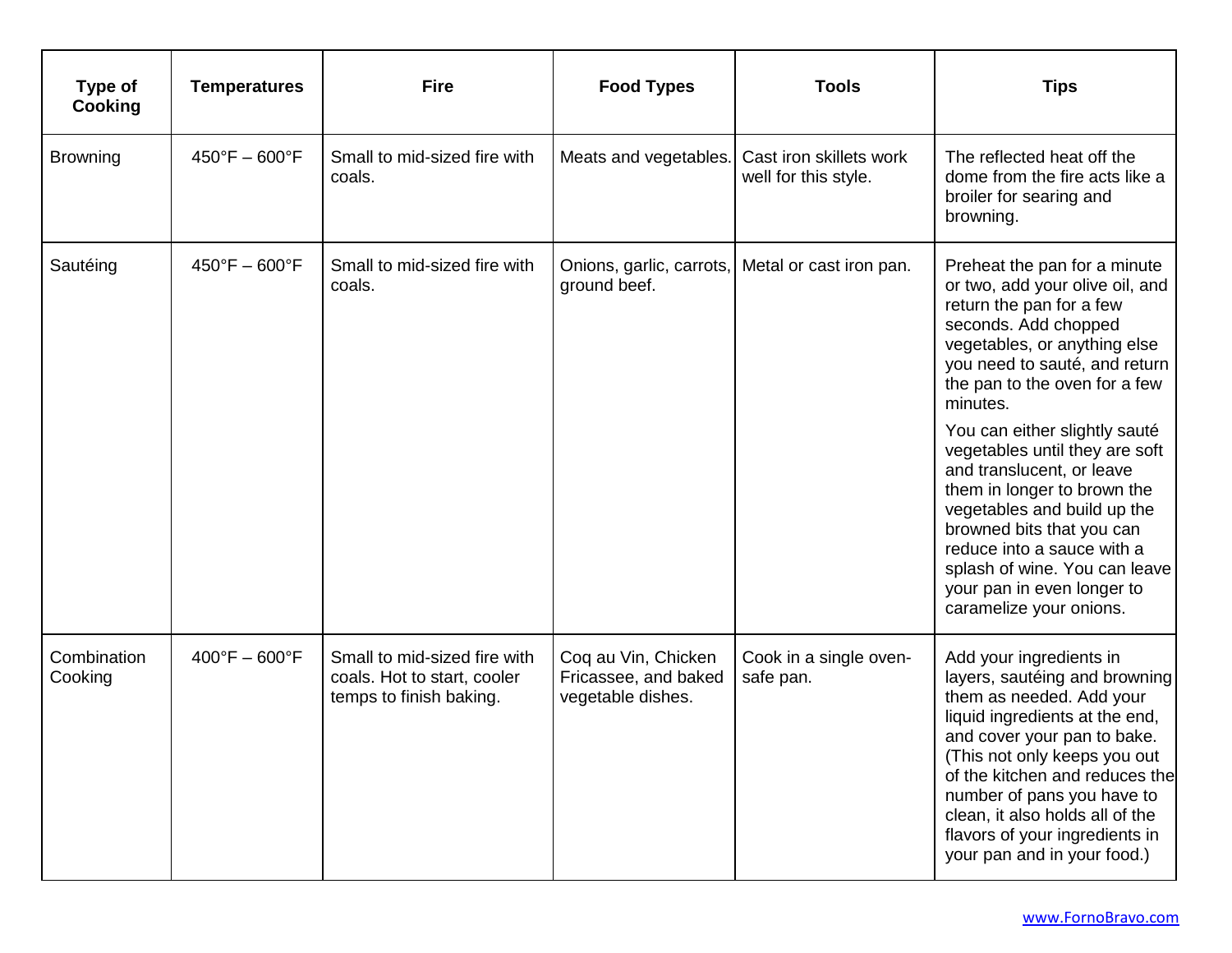| Type of<br>Cooking     | <b>Temperatures</b>           | <b>Fire</b>                                                                            | <b>Food Types</b>                                                | <b>Tools</b>                                    | <b>Tips</b>                                                                                                                                                                                                                                                                                                                                                                                                                                                                                                                                          |
|------------------------|-------------------------------|----------------------------------------------------------------------------------------|------------------------------------------------------------------|-------------------------------------------------|------------------------------------------------------------------------------------------------------------------------------------------------------------------------------------------------------------------------------------------------------------------------------------------------------------------------------------------------------------------------------------------------------------------------------------------------------------------------------------------------------------------------------------------------------|
| <b>Browning</b>        | $450^{\circ}F - 600^{\circ}F$ | Small to mid-sized fire with<br>coals.                                                 | Meats and vegetables.                                            | Cast iron skillets work<br>well for this style. | The reflected heat off the<br>dome from the fire acts like a<br>broiler for searing and<br>browning.                                                                                                                                                                                                                                                                                                                                                                                                                                                 |
| Sautéing               | $450^{\circ}F - 600^{\circ}F$ | Small to mid-sized fire with<br>coals.                                                 | Onions, garlic, carrots,<br>ground beef.                         | Metal or cast iron pan.                         | Preheat the pan for a minute<br>or two, add your olive oil, and<br>return the pan for a few<br>seconds. Add chopped<br>vegetables, or anything else<br>you need to sauté, and return<br>the pan to the oven for a few<br>minutes.<br>You can either slightly sauté<br>vegetables until they are soft<br>and translucent, or leave<br>them in longer to brown the<br>vegetables and build up the<br>browned bits that you can<br>reduce into a sauce with a<br>splash of wine. You can leave<br>your pan in even longer to<br>caramelize your onions. |
| Combination<br>Cooking | $400^{\circ}F - 600^{\circ}F$ | Small to mid-sized fire with<br>coals. Hot to start, cooler<br>temps to finish baking. | Coq au Vin, Chicken<br>Fricassee, and baked<br>vegetable dishes. | Cook in a single oven-<br>safe pan.             | Add your ingredients in<br>layers, sautéing and browning<br>them as needed. Add your<br>liquid ingredients at the end,<br>and cover your pan to bake.<br>(This not only keeps you out<br>of the kitchen and reduces the<br>number of pans you have to<br>clean, it also holds all of the<br>flavors of your ingredients in<br>your pan and in your food.)                                                                                                                                                                                            |